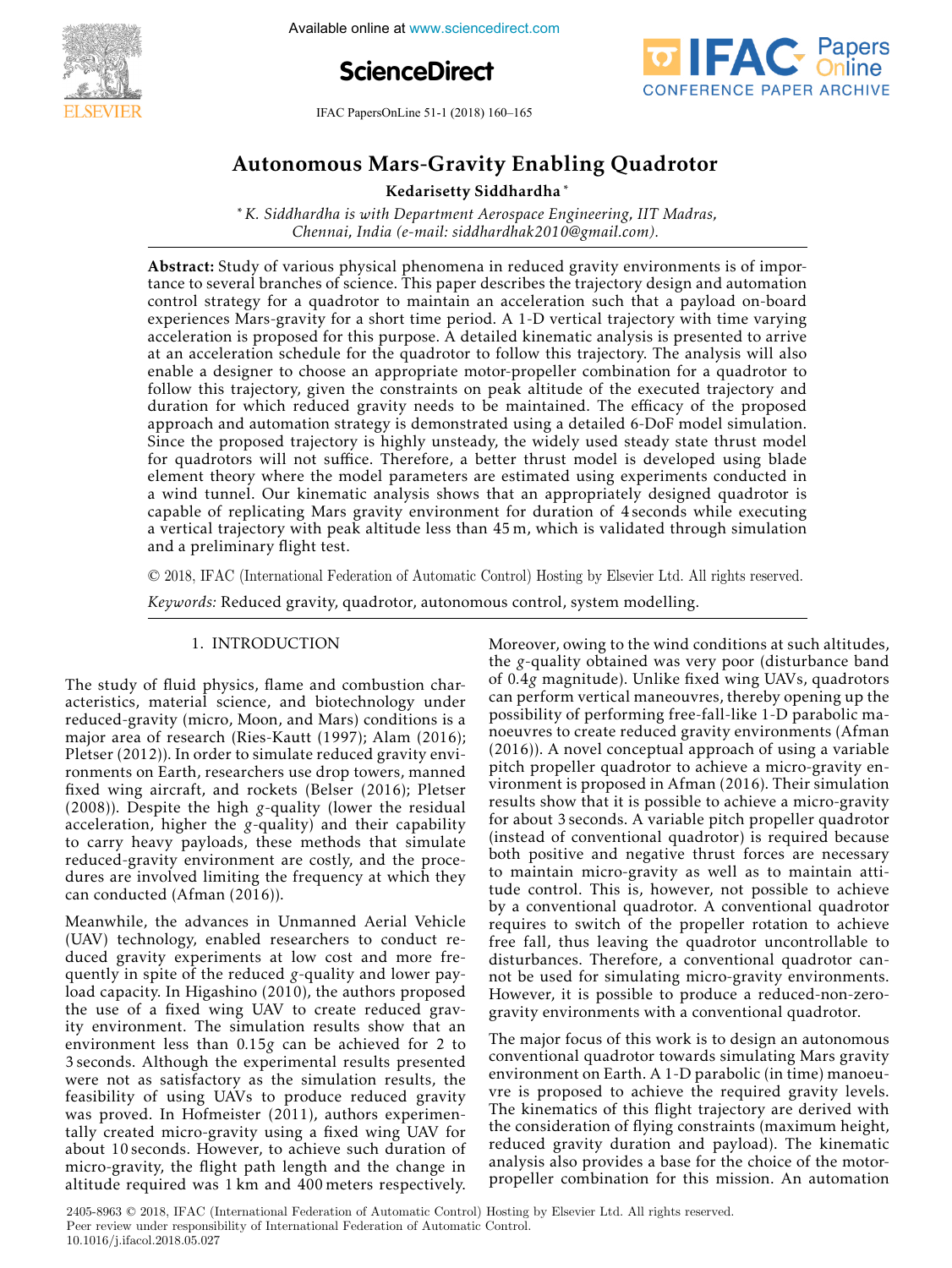

**5th International Conference online at www.sciencedirect.com** 





IFAC PapersOnLine 51-1 (2018) 160–165  $A = \frac{1}{2}$ 

#### lars-Gravity Enabl Autonomous Mars-Gravity Enabling Quadrotor Autonomous Mars-Gravity Enabling Quadrotor

Kedarisetty Siddhardha ∗ Kedarisetty Siddhardha ∗ Kedarisetty Siddhardha ∗

∗*K. Siddhardha is with Department Aerospace Engineering, IIT Madras, Chennai, India (e-mail: siddhardhak2010@gmail.com).* ∗*K. Siddhardha is with Department Aerospace Engineering, IIT Madras,* ∗*K. Siddhardha is with Department Aerospace Engineering, IIT Madras,* Kedarisetty Siddhardha ∗ *Chennai, India (e-mail: siddhardhak2010@gmail.com). Chennai, India (e-mail: siddhardhak2010@gmail.com).* ∗*K. Siddhardha is with Department Aerospace Engineering, IIT Madras, Chennai, India (e-mail: siddhardhak2010@gmail.com). K. Siddhard, IIW (C Theory, Department and Engineering, III* 

tance to several branches of science. This paper describes the trajectory design and automation control strategy for a quadrotor to maintain an acceleration such that a payload on-board experiences Mars-gravity for a short time period. A 1-D vertical trajectory with time varying acceleration is proposed for this purpose. A detailed kinematic analysis is presented to arrive at an acceleration schedule for the quadrotor to follow this trajectory. The analysis will also enable a designer to choose an appropriate motor-propeller combination for a quadrotor to follow this trajectory, given the constraints on peak altitude of the executed trajectory and duration for which reduced gravity needs to be maintained. The efficacy of the proposed abundance of the proposed and automation strategy is demonstrated using a detailed 6-DoF model simulation. Since the proposed trajectory is highly unsteady, the widely used steady state thrust model for quadrotors will not suffice. Therefore, a better thrust model is developed using blade element theory where the model parameters are estimated using experiments conducted in a wind tunnel. Our kinematic analysis shows that an appropriately designed quadrotor is capable of replicating Mars gravity environment for duration of 4 seconds while executing a vertical trajectory with peak altitude less than 45 m, which is validated through simulation and a preliminary flight test. Abstract: Study of various physical phenomena in reduced gravity environments is of impora vertical trajectory with peak altitude less than 45 m, which is validated through simulation<br>and a preliminary flight test tance to several branches of science. This paper describes the trajectory design and automation control strategy for a quadrotor to maintain an acceleration such that a payload on-board experiences Mars-gravity for a short time period. A 1-D vertical trajectory with time varying acceleration is proposed for this purpose. A detailed kinematic analysis is presented to arrive at an acceleration schedule for the quadrotor to follow this trajectory. The analysis will also enable a designer to choose an appropriate motor-propeller combination for a quadrotor to follow this trajectory, given the constraints on peak altitude of the executed trajectory and duration for which reduced gravity needs to be maintained. The efficacy of the proposed approach and automation strategy is demonstrated using a detailed 6-DoF model simulation.<br>City of the constraints on peak altitude trajectory and the executive trajectory and the executive of the exec Since the proposed trajectory is highly unsteady, the widely used steady state thrust model  $\epsilon$ for quadrotors will not suffice. Therefore, a better thrust model is developed using blade element theory where the model parameters are estimated using experiments conducted in a wind tunnel. Our kinematic analysis shows that an appropriately designed quadrotor is capable of replicating Mars gravity environment for duration of 4 seconds while executing

© 2018, IFAC (International Federation of Automatic Control) Hosting by Elsevier Ltd. All rights reserved. and a preliminary flight test. *Keywords:* Reduced gravity, quadrotor, autonomous control, system modelling. © 2018, IFAC (International Federation of Automatic Control) Hosting by Elsevier Ltd. All rights reserved  $\approx$  2010, if ite (international tea

*Keywords:* Reduced gravity, quadrotor, autonomous control, system modelling. *Keywords:* Reduced gravity, quadrotor, autonomous control, system modelling. *Keywords:* Reduced gravity, quadrotor, autonomous control, system modelling.

#### 1. INTRODUCTION 1. INTRODUCTION 1. INTRODUCTION 1. INTRODUCTION

The study of fluid physics, flame and combustion char-The study of fluid physics, flame and combustion char-<br>acteristics, material science, and biotechnology under acteristics, material science, and biotechnology under<br>reduced-gravity (micro, Moon, and Mars) conditions is a major area of research (Ries-Kautt (1997); Alam (2016); Pletser (2012)). In order to simulate reduced gravity enviretist (2012)). In order to simulate reduced gravity city fixed wing aircraft, and rockets (Belser (2016); Pletser  $(2008)$ ). Despite the high *g*-quality (lower the residual  $(2000)$ . Even the light  $\frac{1}{2}$  quality (lower the residual acceleration, higher the *g*-quality) and their capability acceleration, higher the *g*-quality) and their capability<br>to carry heavy payloads, these methods that simulate to carry heavy payloads, these methods that simulate reduced-gravity environment are costly, and the procereduced-gravity environment are eosity, and the proce-<br>dures are involved limiting the frequency at which they can conducted (Afman (2016)). can conducted (Afman (2016)).  $T_{\rm eff}$  study of fluid physics, fluid physics, flame and combustion char-The study of fluid physics, flame and combustion chardures are involved limiting the frequency at which they<br>can conducted (Afman (2016)) can conducted (Afman (2016)).  $\alpha$  study of  $\alpha$  studies, and concennion charrequed-gravity (inicro, moon, and mars) conditions is a  $\frac{1}{2}$  reduced-gravity (microsecular matrix) (microsecular matrix) conditions is and  $\frac{1}{2}$  contained in the matrix of  $\frac{1}{2}$  contained in the matrix of  $\frac{1}{2}$  contained in the matrix of  $\frac{1}{2}$  contained in Pietser (2012)). In order to simulate reduced gravity envi-Follments on Earth, researchers use drop towers, manned rixed wing aircraft, and fockets (beiser  $(2010)$ ; metser  $(2000)$ . Despite the high g-quality (lower the residual acceleration, higher the g-quality) and their capability to carry neavy payioads, these methods that simulate requed gravity environment are costly, and the proce-

Meanwhile, the advances in Unmanned Aerial Vehicle Meanwhile, the advances in Unmanned Aerial Vehicle<br>(UAV) technology, enabled researchers to conduct re-(UAV) technology, enabled researchers to conduct reduced *gravity* experiments at low cost and more frequently in spite of the reduced g-quality and lower payload capacity. In Higashino (2010), the authors proposed foad capacity. In Higashino (2010), the authors proposed<br>the use of a fixed wing UAV to create reduced gravthe use of a fixed wing UAV to create reduced grav-<br>tity environment. The simulation results show that an environment less than 0.15g can be achieved for 2 to  $3$  seconds. Although the experimental results presented 3 seconds. Although the experimental results presented were not as satisfactory as the simulation results, the were not as satisfactory as the simulation results, the feasibility of using UAVs to produce reduced gravity reasibility of using UAVs to produce reduced gravity<br>was proved. In Hofmeister (2011), authors experimenwas proved. In Homeister (2011), authors experimentally created micro-gravity using a fixed wing UAV for about 10 seconds. However, to achieve such duration of about 10 seconds. However, to achieve such duration of micro-gravity, the flight path length and the change in altitude required was 1 km and 400 meters respectively. altitude required was 1 km and 400 meters respectively. micro-gravity, the flight path length and the change in  $\sum_{i=1}^{n}$ Meanwhile, the advances in Unmanned Aerial Vehicle altitude required was I km and 400 meters respectively. (UAV) technology, enabled researchers to conduct reduced gravity experiments at low cost and more frequently in spite of the reduced  $g$ -quality and lower payfoad capacity. In Higashino (2010), the authors proposed the use of a fixed wing UAV to create reduced grav- $\frac{1}{2}$  for the use of  $\frac{1}{2}$  fixed with  $\frac{1}{2}$  fixed gravenvironment. These than  $0.158$  can be achieved for 2 to becomes. Although the experimental results presented were not as satisfactory as the simulation results, the reasibility of using UAVs to produce reduced gravity was proved. In Homeister (2011), authors experimenrany created micro-gravity using a fixed wing OAV for about TU seconds. However, to achieve such duration of micro-gravity, the flight path length and the change in Moreover, owing to the wind conditions at such altitudes, the *g*-quality obtained was very poor (disturbance band of 0.4g magnitude). Unlike fixed wing UAVs, quadrotors can perform vertical maneouvres, thereby opening up the ean perform vertical maneouvres, thereby opening up the<br>possibility of performing free-fall-like 1-D parabolic mapossibility of performing rice fair like 1 *D* parabolic life<br>noeuvres to create reduced gravity environments (Afman (2016)). A novel conceptual approach of using a variable pitch propeller quadrotor to achieve a micro-gravity enprich properter quadrotor to active a filtero gravity environment is proposed in Afman (2016). Their simulation results show that it is possible to achieve a micro-gravity for about 3 seconds. A variable pitch propeller quadrotor for about 3 seconds. A variable pitch propeller quadrotor (instead of conventional quadrotor) is required because (instead of conventional quadrotor) is required because both positive and negative thrust forces are necessary<br>to maintain micro-gravity as well as to maintain attitude control. This is, however, not possible to achieve tude control. This is, however, not possible to achieve<br>by a conventional quadrotor. A conventional quadrotor by a conventional quadrotor. A conventional quadrotor requires to switch of the propeller rotation to achieve requires to switch of the propeller rotation to achieve<br>free fall, thus leaving the quadrotor uncontrollable to not rain, thus leaving the quadrotor uncontrollable to<br>disturbances. Therefore, a conventional quadrotor candisturbances. Therefore, a conventional quadrotor can-<br>not be used for simulating micro-gravity environments. However, it is possible to produce a reduced-non-zero-gravity environments with a conventional quadrotor. However, it is possible to produce a reduced-non-zero-not be used for simulating micro-gravity environments. gravity environments with a conventional quadrotor.  $M_{\rm tot}$  , our over, our over, our over, our over, our over,  $\alpha$ gravity environments with a conventional quadrotor. However, it is possible to produce a reduced-non-zerogravity environments with a conventional quadrotor.  $\frac{1}{1}$  Moreover, original to the wind conditions at such a such a such a such a such as such as such as such as such as such as such as  $\frac{1}{1}$  of  $\frac{1}{1}$  and  $\frac{1}{1}$  and  $\frac{1}{1}$  and  $\frac{1}{1}$  and  $\frac{1}{1}$  and or 0.4g magnitude). Onlike fixed wing OAVs, quadrotors can perform vertical maneouvres, thereby opening up the possibility of performing free-fail-fike T-D parabolic mapositive frequence of performance in performance in parabolic management is the contract of the 1-D parabolic materials of the contract materials of the contract materials of the contract materials of the contract material  $(2016)$ ). A novel conceptual approach of using a variable pitch propeller quadrotor to achieve a micro-gravity environment is proposed in Alman (2016). Their simulation results show that it is possible to achieve a micro-gravity ror about 3 seconds. A variable pitch propeller quadrotor (instead of conventional quadrotor) is required because both positive and negative thrust forces are necessary to maintain inicro-gravity as well as to maintain attitude control. This is, nowever, not possible to achieve by a conventional quadrotor. A conventional quadrotor by requires to switch of the propeller fotation to achieve ree fail, thus leaving the quadrotor uncontrollable to disturbances. Therefore, a conventional quadrotor cannot be used for simulating micro-gravity environments. nowever, it is possible to produce a reduced-non-zero-

The major focus of this work is to design an autonomous The major focus of this work is to design an autonomous<br>conventional quadrotor towards simulating Mars gravity environment on Earth. A 1-D parabolic (in time) manoeuof the three control of Latin. A 1 D parabolic (in time) manced<br>vre is proposed to achieve the required gravity levels. The kinematics of this flight trajectory are derived with The kinematics of this hight trajectory are derived with<br>the consideration of flying constraints (maximum height, reduced gravity duration and payload). The kinematic analysis also provides a base for the choice of the motor-reduced gravity duration and payload). The kinematic the consideration of flying constraints (maximum height, reduced gravity duration and payload). The kinematic analysis also provides a base for the choice of the motorpropeller combination for this mission. An automation propeller combination for this mission. An automation analysis also provides a base for the choice of the motorpropeller combination for this mission. An automation conventional quadrotor towards simulating mars gravity environment on earth. A 1-D parabolic (in time) manoeuvre is proposed to achieve the required gravity levels. The kinematics of this hight trajectory are derived with the consideration of trying constraints (maximum neight, requede gravity duration and payload). The kinematic analysis also provides a base for the choice of the motor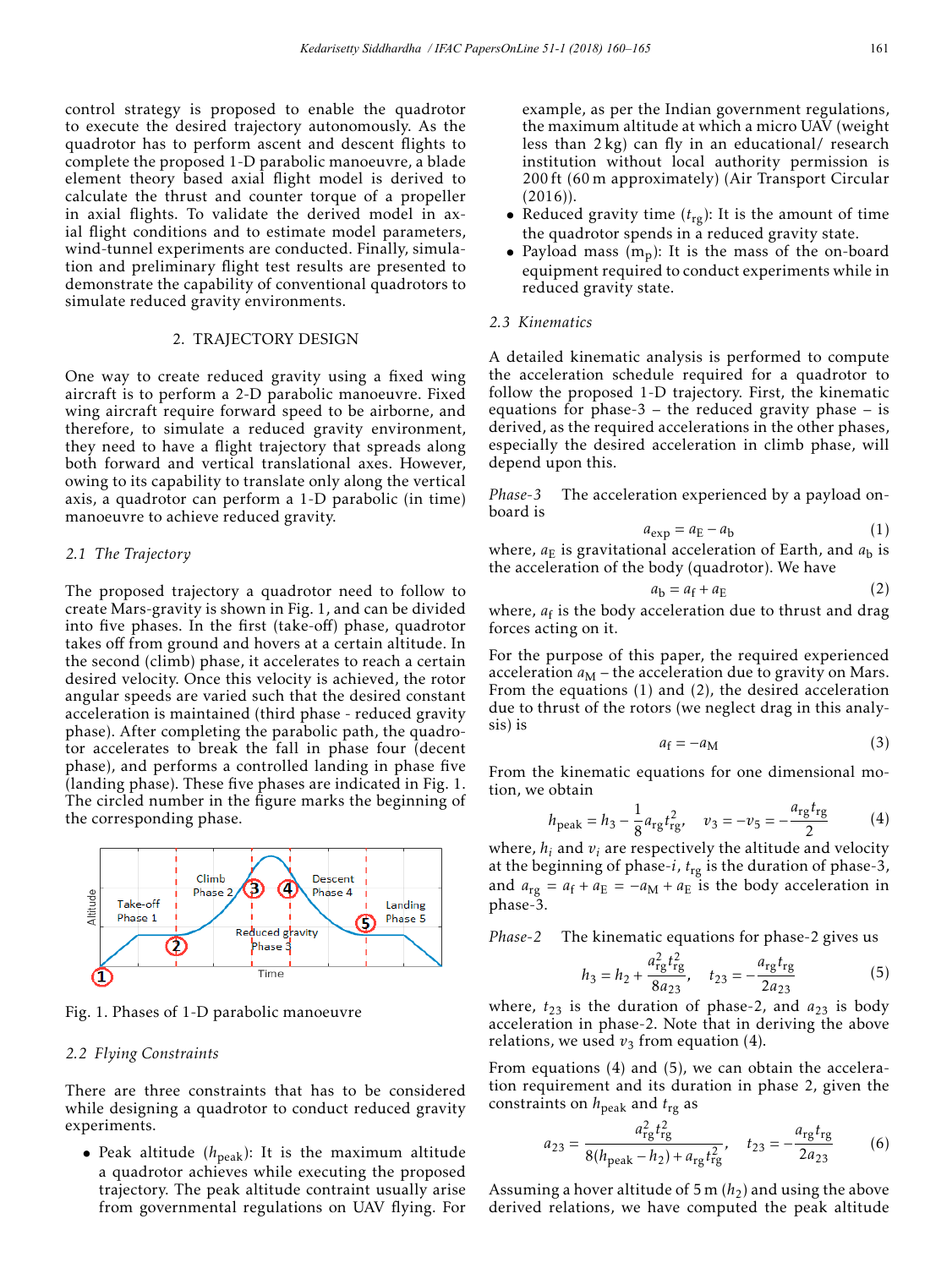control strategy is proposed to enable the quadrotor to execute the desired trajectory autonomously. As the quadrotor has to perform ascent and descent flights to complete the proposed 1-D parabolic manoeuvre, a blade element theory based axial flight model is derived to calculate the thrust and counter torque of a propeller in axial flights. To validate the derived model in axial flight conditions and to estimate model parameters, wind-tunnel experiments are conducted. Finally, simulation and preliminary flight test results are presented to demonstrate the capability of conventional quadrotors to simulate reduced gravity environments.

#### 2. TRAJECTORY DESIGN

One way to create reduced gravity using a fixed wing aircraft is to perform a 2-D parabolic manoeuvre. Fixed wing aircraft require forward speed to be airborne, and therefore, to simulate a reduced gravity environment, they need to have a flight trajectory that spreads along both forward and vertical translational axes. However, owing to its capability to translate only along the vertical axis, a quadrotor can perform a 1-D parabolic (in time) manoeuvre to achieve reduced gravity.

#### *2.1 The Trajectory*

The proposed trajectory a quadrotor need to follow to create Mars-gravity is shown in Fig. 1, and can be divided into five phases. In the first (take-off) phase, quadrotor takes off from ground and hovers at a certain altitude. In the second (climb) phase, it accelerates to reach a certain desired velocity. Once this velocity is achieved, the rotor angular speeds are varied such that the desired constant acceleration is maintained (third phase - reduced gravity phase). After completing the parabolic path, the quadrotor accelerates to break the fall in phase four (decent phase), and performs a controlled landing in phase five (landing phase). These five phases are indicated in Fig. 1. The circled number in the figure marks the beginning of the corresponding phase.



Fig. 1. Phases of 1-D parabolic manoeuvre

### *2.2 Flying Constraints*

There are three constraints that has to be considered while designing a quadrotor to conduct reduced gravity experiments.

• Peak altitude  $(h_{peak})$ : It is the maximum altitude a quadrotor achieves while executing the proposed trajectory. The peak altitude contraint usually arise from governmental regulations on UAV flying. For example, as per the Indian government regulations, the maximum altitude at which a micro UAV (weight less than 2 kg) can fly in an educational/ research institution without local authority permission is 200 ft (60 m approximately) (Air Transport Circular (2016)).

- Reduced gravity time  $(t_{rg})$ : It is the amount of time the quadrotor spends in a reduced gravity state.
- Payload mass  $(m_p)$ : It is the mass of the on-board equipment required to conduct experiments while in reduced gravity state.

## *2.3 Kinematics*

A detailed kinematic analysis is performed to compute the acceleration schedule required for a quadrotor to follow the proposed 1-D trajectory. First, the kinematic equations for phase-3 – the reduced gravity phase – is derived, as the required accelerations in the other phases, especially the desired acceleration in climb phase, will depend upon this.

*Phase-3* The acceleration experienced by a payload onboard is

$$
a_{\exp} = a_{\mathrm{E}} - a_{\mathrm{b}} \tag{1}
$$

where,  $a_{\rm E}$  is gravitational acceleration of Earth, and  $a_{\rm h}$  is the acceleration of the body (quadrotor). We have

$$
a_{\rm b} = a_{\rm f} + a_{\rm E} \tag{2}
$$

where,  $a_f$  is the body acceleration due to thrust and drag forces acting on it.

For the purpose of this paper, the required experienced acceleration  $a_M$  – the acceleration due to gravity on Mars. From the equations (1) and (2), the desired acceleration due to thrust of the rotors (we neglect drag in this analysis) is

$$
a_{\rm f} = -a_{\rm M} \tag{3}
$$

From the kinematic equations for one dimensional motion, we obtain

$$
h_{\text{peak}} = h_3 - \frac{1}{8} a_{\text{rg}} t_{\text{rg}}^2, \quad v_3 = -v_5 = -\frac{a_{\text{rg}} t_{\text{rg}}}{2}
$$
 (4)

where,  $h_i$  and  $v_i$  are respectively the altitude and velocity at the beginning of phase-*i*, *t*rg is the duration of phase-3, and  $a_{\text{rg}} = a_{\text{f}} + a_{\text{E}} = -a_{\text{M}} + a_{\text{E}}$  is the body acceleration in phase-3.

*Phase-2* The kinematic equations for phase-2 gives us

$$
h_3 = h_2 + \frac{a_{\rm rg}^2 t_{\rm rg}^2}{8a_{23}}, \quad t_{23} = -\frac{a_{\rm rg} t_{\rm rg}}{2a_{23}} \tag{5}
$$

where,  $t_{23}$  is the duration of phase-2, and  $a_{23}$  is body acceleration in phase-2. Note that in deriving the above relations, we used  $v_3$  from equation (4).

From equations (4) and (5), we can obtain the acceleration requirement and its duration in phase 2, given the constraints on  $h_{\text{peak}}$  and  $t_{\text{rg}}$  as

$$
a_{23} = \frac{a_{\rm rg}^2 t_{\rm rg}^2}{8(h_{\rm peak} - h_2) + a_{\rm rg} t_{\rm rg}^2}, \quad t_{23} = -\frac{a_{\rm rg} t_{\rm rg}}{2a_{23}} \tag{6}
$$

Assuming a hover altitude of 5 m  $(h_2)$  and using the above derived relations, we have computed the peak altitude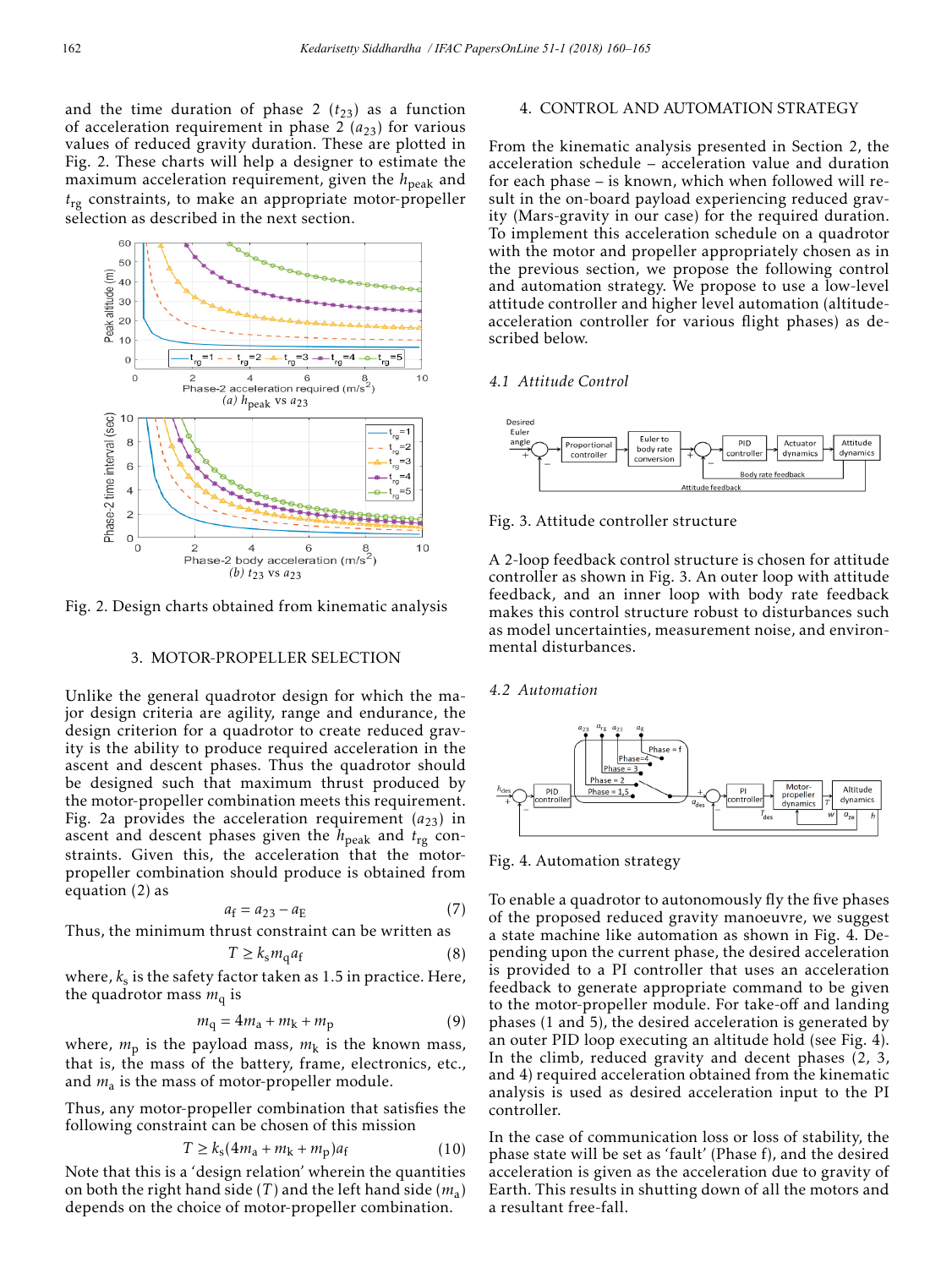and the time duration of phase 2  $(t_{23})$  as a function of acceleration requirement in phase  $2(a_{23})$  for various values of reduced gravity duration. These are plotted in Fig. 2. These charts will help a designer to estimate the maximum acceleration requirement, given the  $h_{\text{peak}}$  and *t*rg constraints, to make an appropriate motor-propeller selection as described in the next section.



Fig. 2. Design charts obtained from kinematic analysis

### 3. MOTOR-PROPELLER SELECTION

Unlike the general quadrotor design for which the major design criteria are agility, range and endurance, the design criterion for a quadrotor to create reduced gravity is the ability to produce required acceleration in the ascent and descent phases. Thus the quadrotor should be designed such that maximum thrust produced by the motor-propeller combination meets this requirement. Fig. 2a provides the acceleration requirement  $(a_{23})$  in ascent and descent phases given the *h*peak and *t*rg constraints. Given this, the acceleration that the motorpropeller combination should produce is obtained from equation (2) as

$$
a_{\rm f} = a_{23} - a_{\rm E} \tag{7}
$$

Thus, the minimum thrust constraint can be written as

$$
T \ge k_s m_q a_f \tag{8}
$$

where,  $k_s$  is the safety factor taken as 1.5 in practice. Here, the quadrotor mass  $m_q$  is

$$
m_{\rm q} = 4m_{\rm a} + m_{\rm k} + m_{\rm p} \tag{9}
$$

where,  $m_p$  is the payload mass,  $m_k$  is the known mass, that is, the mass of the battery, frame, electronics, etc., and  $m_a$  is the mass of motor-propeller module.

Thus, any motor-propeller combination that satisfies the following constraint can be chosen of this mission

$$
T \ge k_s (4m_a + m_k + m_p)a_f \tag{10}
$$

Note that this is a 'design relation' wherein the quantities on both the right hand side (*T* ) and the left hand side (*m*a) depends on the choice of motor-propeller combination.

# 4. CONTROL AND AUTOMATION STRATEGY

From the kinematic analysis presented in Section 2, the acceleration schedule – acceleration value and duration for each phase – is known, which when followed will result in the on-board payload experiencing reduced gravity (Mars-gravity in our case) for the required duration. To implement this acceleration schedule on a quadrotor with the motor and propeller appropriately chosen as in the previous section, we propose the following control and automation strategy. We propose to use a low-level attitude controller and higher level automation (altitudeacceleration controller for various flight phases) as described below.

## *4.1 Attitude Control*



Fig. 3. Attitude controller structure

A 2-loop feedback control structure is chosen for attitude controller as shown in Fig. 3. An outer loop with attitude feedback, and an inner loop with body rate feedback makes this control structure robust to disturbances such as model uncertainties, measurement noise, and environmental disturbances.

## *4.2 Automation*



Fig. 4. Automation strategy

To enable a quadrotor to autonomously fly the five phases of the proposed reduced gravity manoeuvre, we suggest a state machine like automation as shown in Fig. 4. Depending upon the current phase, the desired acceleration is provided to a PI controller that uses an acceleration feedback to generate appropriate command to be given to the motor-propeller module. For take-off and landing phases (1 and 5), the desired acceleration is generated by an outer PID loop executing an altitude hold (see Fig. 4). In the climb, reduced gravity and decent phases (2, 3, and 4) required acceleration obtained from the kinematic analysis is used as desired acceleration input to the PI controller.

In the case of communication loss or loss of stability, the phase state will be set as 'fault' (Phase f), and the desired acceleration is given as the acceleration due to gravity of Earth. This results in shutting down of all the motors and a resultant free-fall.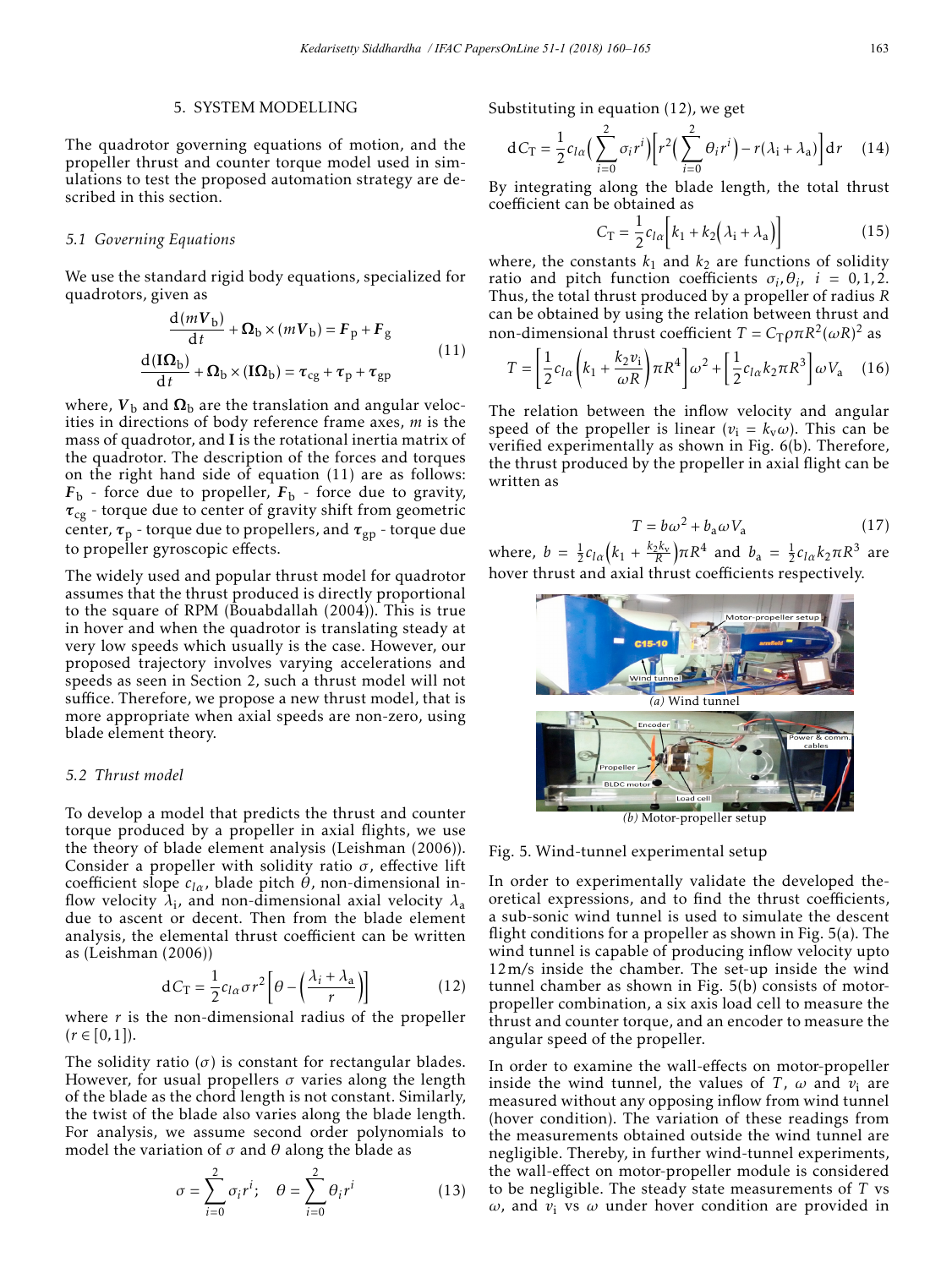# 5. SYSTEM MODELLING

The quadrotor governing equations of motion, and the propeller thrust and counter torque model used in simulations to test the proposed automation strategy are described in this section.

#### *5.1 Governing Equations*

We use the standard rigid body equations, specialized for quadrotors, given as

$$
\frac{d(mV_{b})}{dt} + \Omega_{b} \times (mV_{b}) = F_{p} + F_{g}
$$
\n
$$
\frac{d(\mathbf{I}\Omega_{b})}{dt} + \Omega_{b} \times (\mathbf{I}\Omega_{b}) = \tau_{cg} + \tau_{p} + \tau_{gp}
$$
\n(11)

where,  $V_{\rm b}$  and  $\Omega_{\rm b}$  are the translation and angular velocities in directions of body reference frame axes, *m* is the mass of quadrotor, and I is the rotational inertia matrix of the quadrotor. The description of the forces and torques on the right hand side of equation (11) are as follows:  $F_b$  - force due to propeller,  $F_b$  - force due to gravity, *τ*cg - torque due to center of gravity shift from geometric center,  $\tau_p$  - torque due to propellers, and  $\tau_{gp}$  - torque due to propeller gyroscopic effects.

The widely used and popular thrust model for quadrotor assumes that the thrust produced is directly proportional to the square of RPM (Bouabdallah (2004)). This is true in hover and when the quadrotor is translating steady at very low speeds which usually is the case. However, our proposed trajectory involves varying accelerations and speeds as seen in Section 2, such a thrust model will not suffice. Therefore, we propose a new thrust model, that is more appropriate when axial speeds are non-zero, using blade element theory.

#### *5.2 Thrust model*

To develop a model that predicts the thrust and counter torque produced by a propeller in axial flights, we use the theory of blade element analysis (Leishman (2006)). Consider a propeller with solidity ratio *σ*, effective lift coefficient slope *clα*, blade pitch *θ*, non-dimensional inflow velocity  $\lambda_i$ , and non-dimensional axial velocity  $\lambda_a$ due to ascent or decent. Then from the blade element analysis, the elemental thrust coefficient can be written as (Leishman (2006))

$$
dC_T = \frac{1}{2}c_{l\alpha}\sigma r^2 \left[\theta - \left(\frac{\lambda_i + \lambda_a}{r}\right)\right]
$$
 (12)

where *r* is the non-dimensional radius of the propeller  $(r \in [0,1]).$ 

The solidity ratio  $(\sigma)$  is constant for rectangular blades. However, for usual propellers *σ* varies along the length of the blade as the chord length is not constant. Similarly, the twist of the blade also varies along the blade length. For analysis, we assume second order polynomials to model the variation of  $\sigma$  and  $\theta$  along the blade as

$$
\sigma = \sum_{i=0}^{2} \sigma_i r^i; \quad \theta = \sum_{i=0}^{2} \theta_i r^i \tag{13}
$$

Substituting in equation (12), we get

$$
dC_T = \frac{1}{2}c_{l\alpha} \Big(\sum_{i=0}^2 \sigma_i r^i\Big) \Big[r^2 \Big(\sum_{i=0}^2 \theta_i r^i\Big) - r(\lambda_i + \lambda_a)\Big] dr \tag{14}
$$

By integrating along the blade length, the total thrust coefficient can be obtained as

$$
C_{\rm T} = \frac{1}{2} c_{l\alpha} \Big[ k_1 + k_2 \big( \lambda_i + \lambda_a \big) \Big] \tag{15}
$$

where, the constants  $k_1$  and  $k_2$  are functions of solidity ratio and pitch function coefficients  $\sigma_i$ ,  $\theta_i$ ,  $i = 0, 1, 2$ . Thus, the total thrust produced by a propeller of radius *R* can be obtained by using the relation between thrust and non-dimensional thrust coefficient  $T = C_T \rho \pi R^2 (\omega R)^2$  as

$$
T = \left[\frac{1}{2}c_{l\alpha}\left(k_1 + \frac{k_2v_i}{\omega R}\right)\pi R^4\right]\omega^2 + \left[\frac{1}{2}c_{l\alpha}k_2\pi R^3\right]\omega V_a \quad (16)
$$

The relation between the inflow velocity and angular speed of the propeller is linear  $(v_i = k_v \omega)$ . This can be verified experimentally as shown in Fig. 6(b). Therefore, the thrust produced by the propeller in axial flight can be written as

$$
T = b\omega^2 + b_a\omega V_a \tag{17}
$$

where,  $b = \frac{1}{2}c_{l\alpha}(k_1 + \frac{k_2k_v}{R})\pi R^4$  and  $b_a = \frac{1}{2}c_{l\alpha}k_2\pi R^3$  are hover thrust and axial thrust coefficients respectively.



*(b)* Motor-propeller setup

# Fig. 5. Wind-tunnel experimental setup

In order to experimentally validate the developed theoretical expressions, and to find the thrust coefficients, a sub-sonic wind tunnel is used to simulate the descent flight conditions for a propeller as shown in Fig. 5(a). The wind tunnel is capable of producing inflow velocity upto 12m*/*s inside the chamber. The set-up inside the wind tunnel chamber as shown in Fig. 5(b) consists of motorpropeller combination, a six axis load cell to measure the thrust and counter torque, and an encoder to measure the angular speed of the propeller.

In order to examine the wall-effects on motor-propeller inside the wind tunnel, the values of *T*,  $\omega$  and  $v_i$  are measured without any opposing inflow from wind tunnel (hover condition). The variation of these readings from the measurements obtained outside the wind tunnel are negligible. Thereby, in further wind-tunnel experiments, the wall-effect on motor-propeller module is considered to be negligible. The steady state measurements of *T* vs  $ω$ , and  $v_i$  vs  $ω$  under hover condition are provided in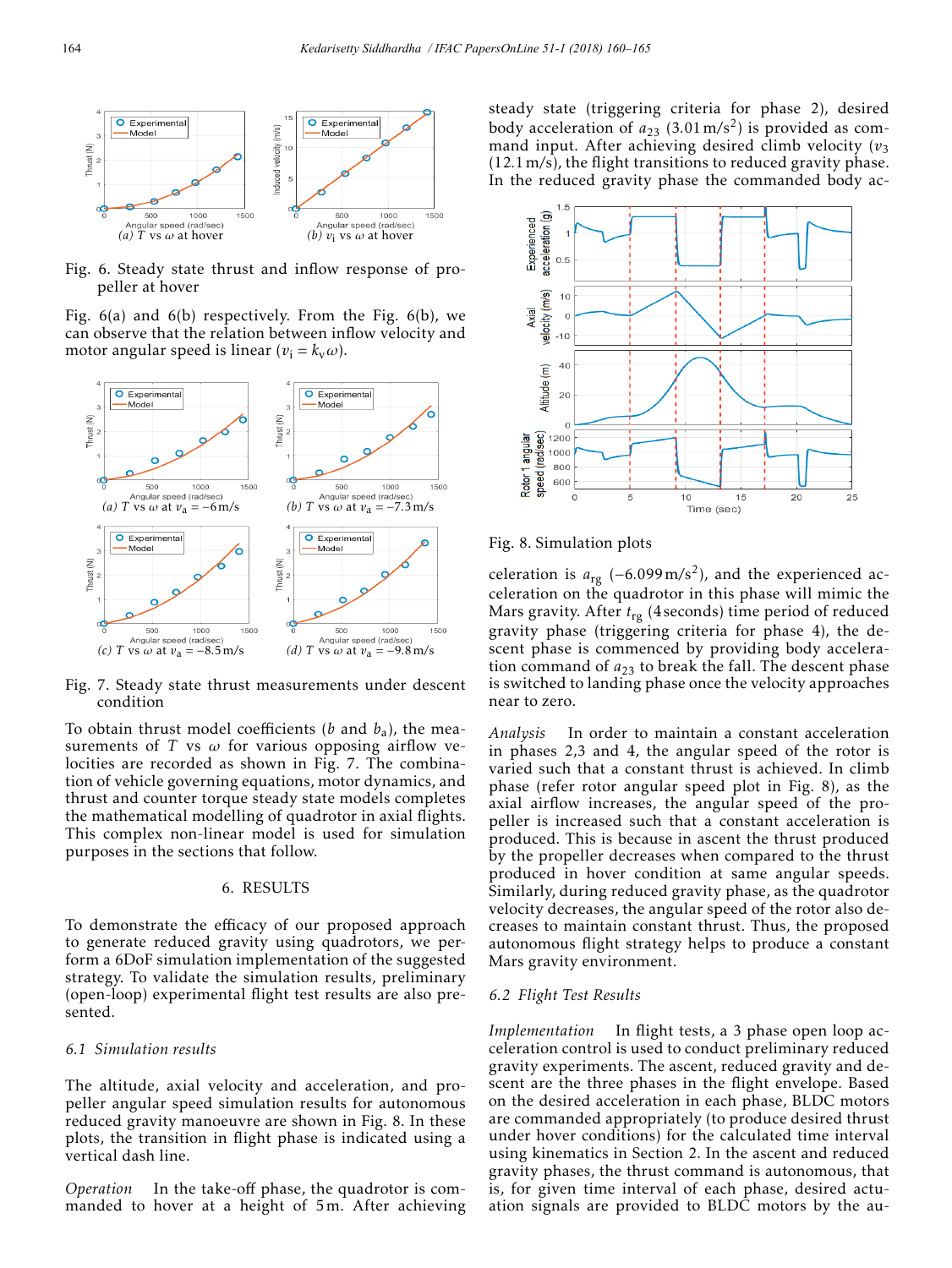

Fig. 6. Steady state thrust and inflow response of propeller at hover

Fig. 6(a) and 6(b) respectively. From the Fig. 6(b), we can observe that the relation between inflow velocity and motor angular speed is linear ( $v_i = k_v \omega$ ).



Fig. 7. Steady state thrust measurements under descent condition

To obtain thrust model coefficients (*b* and  $b_a$ ), the measurements of *T* vs *ω* for various opposing airflow velocities are recorded as shown in Fig. 7. The combination of vehicle governing equations, motor dynamics, and thrust and counter torque steady state models completes the mathematical modelling of quadrotor in axial flights. This complex non-linear model is used for simulation purposes in the sections that follow.

### 6. RESULTS

To demonstrate the efficacy of our proposed approach to generate reduced gravity using quadrotors, we perform a 6DoF simulation implementation of the suggested strategy. To validate the simulation results, preliminary (open-loop) experimental flight test results are also presented.

# *6.1 Simulation results*

The altitude, axial velocity and acceleration, and propeller angular speed simulation results for autonomous reduced gravity manoeuvre are shown in Fig. 8. In these plots, the transition in flight phase is indicated using a vertical dash line.

*Operation* In the take-off phase, the quadrotor is commanded to hover at a height of 5m. After achieving steady state (triggering criteria for phase 2), desired body acceleration of *a*<sup>23</sup> (3*.*01m*/*s2) is provided as command input. After achieving desired climb velocity  $(v_3)$ (12*.*1m*/*s), the flight transitions to reduced gravity phase. In the reduced gravity phase the commanded body ac-



Fig. 8. Simulation plots

celeration is *<sup>a</sup>*rg (−6*.*099m*/*s2), and the experienced acceleration on the quadrotor in this phase will mimic the Mars gravity. After *t*rg (4 seconds) time period of reduced gravity phase (triggering criteria for phase 4), the descent phase is commenced by providing body acceleration command of  $a_{23}$  to break the fall. The descent phase is switched to landing phase once the velocity approaches near to zero.

*Analysis* In order to maintain a constant acceleration in phases 2,3 and 4, the angular speed of the rotor is varied such that a constant thrust is achieved. In climb phase (refer rotor angular speed plot in Fig. 8), as the axial airflow increases, the angular speed of the propeller is increased such that a constant acceleration is produced. This is because in ascent the thrust produced by the propeller decreases when compared to the thrust produced in hover condition at same angular speeds. Similarly, during reduced gravity phase, as the quadrotor velocity decreases, the angular speed of the rotor also decreases to maintain constant thrust. Thus, the proposed autonomous flight strategy helps to produce a constant Mars gravity environment.

# *6.2 Flight Test Results*

*Implementation* In flight tests, a 3 phase open loop acceleration control is used to conduct preliminary reduced gravity experiments. The ascent, reduced gravity and descent are the three phases in the flight envelope. Based on the desired acceleration in each phase, BLDC motors are commanded appropriately (to produce desired thrust under hover conditions) for the calculated time interval using kinematics in Section 2. In the ascent and reduced gravity phases, the thrust command is autonomous, that is, for given time interval of each phase, desired actuation signals are provided to BLDC motors by the au